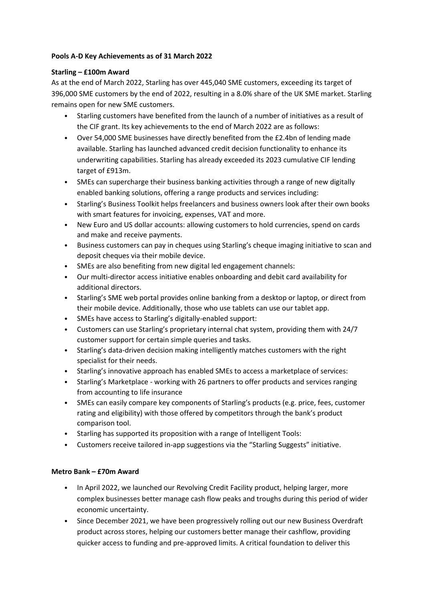### **Pools A-D Key Achievements as of 31 March 2022**

#### **Starling – £100m Award**

As at the end of March 2022, Starling has over 445,040 SME customers, exceeding its target of 396,000 SME customers by the end of 2022, resulting in a 8.0% share of the UK SME market. Starling remains open for new SME customers.

- Starling customers have benefited from the launch of a number of initiatives as a result of the CIF grant. Its key achievements to the end of March 2022 are as follows:
- Over 54,000 SME businesses have directly benefited from the £2.4bn of lending made available. Starling has launched advanced credit decision functionality to enhance its underwriting capabilities. Starling has already exceeded its 2023 cumulative CIF lending target of £913m.
- SMEs can supercharge their business banking activities through a range of new digitally enabled banking solutions, offering a range products and services including:
- Starling's Business Toolkit helps freelancers and business owners look after their own books with smart features for invoicing, expenses, VAT and more.
- New Euro and US dollar accounts: allowing customers to hold currencies, spend on cards and make and receive payments.
- Business customers can pay in cheques using Starling's cheque imaging initiative to scan and deposit cheques via their mobile device.
- SMEs are also benefiting from new digital led engagement channels:
- Our multi-director access initiative enables onboarding and debit card availability for additional directors.
- Starling's SME web portal provides online banking from a desktop or laptop, or direct from their mobile device. Additionally, those who use tablets can use our tablet app.
- SMEs have access to Starling's digitally-enabled support:
- Customers can use Starling's proprietary internal chat system, providing them with 24/7 customer support for certain simple queries and tasks.
- Starling's data-driven decision making intelligently matches customers with the right specialist for their needs.
- Starling's innovative approach has enabled SMEs to access a marketplace of services:
- Starling's Marketplace working with 26 partners to offer products and services ranging from accounting to life insurance
- SMEs can easily compare key components of Starling's products (e.g. price, fees, customer rating and eligibility) with those offered by competitors through the bank's product comparison tool.
- Starling has supported its proposition with a range of Intelligent Tools:
- Customers receive tailored in-app suggestions via the "Starling Suggests" initiative.

## **Metro Bank – £70m Award**

- In April 2022, we launched our Revolving Credit Facility product, helping larger, more complex businesses better manage cash flow peaks and troughs during this period of wider economic uncertainty.
- Since December 2021, we have been progressively rolling out our new Business Overdraft product across stores, helping our customers better manage their cashflow, providing quicker access to funding and pre-approved limits. A critical foundation to deliver this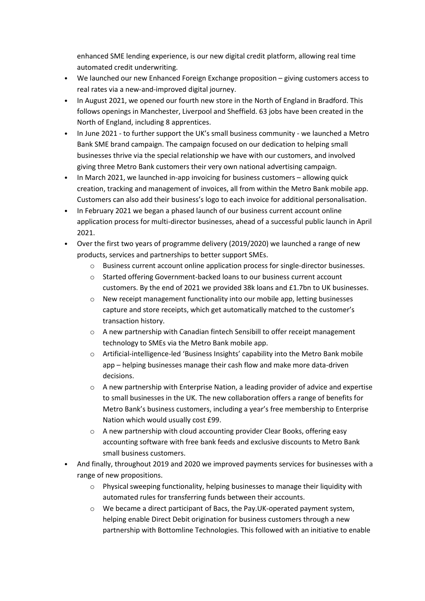enhanced SME lending experience, is our new digital credit platform, allowing real time automated credit underwriting.

- We launched our new Enhanced Foreign Exchange proposition giving customers access to real rates via a new-and-improved digital journey.
- In August 2021, we opened our fourth new store in the North of England in Bradford. This follows openings in Manchester, Liverpool and Sheffield. 63 jobs have been created in the North of England, including 8 apprentices.
- In June 2021 to further support the UK's small business community we launched a Metro Bank SME brand campaign. The campaign focused on our dedication to helping small businesses thrive via the special relationship we have with our customers, and involved giving three Metro Bank customers their very own national advertising campaign.
- In March 2021, we launched in-app invoicing for business customers allowing quick creation, tracking and management of invoices, all from within the Metro Bank mobile app. Customers can also add their business's logo to each invoice for additional personalisation.
- In February 2021 we began a phased launch of our business current account online application process for multi-director businesses, ahead of a successful public launch in April 2021.
- Over the first two years of programme delivery (2019/2020) we launched a range of new products, services and partnerships to better support SMEs.
	- o Business current account online application process for single-director businesses.
	- o Started offering Government-backed loans to our business current account customers. By the end of 2021 we provided 38k loans and £1.7bn to UK businesses.
	- o New receipt management functionality into our mobile app, letting businesses capture and store receipts, which get automatically matched to the customer's transaction history.
	- o A new partnership with Canadian fintech Sensibill to offer receipt management technology to SMEs via the Metro Bank mobile app.
	- o Artificial-intelligence-led 'Business Insights' capability into the Metro Bank mobile app – helping businesses manage their cash flow and make more data-driven decisions.
	- $\circ$  A new partnership with Enterprise Nation, a leading provider of advice and expertise to small businesses in the UK. The new collaboration offers a range of benefits for Metro Bank's business customers, including a year's free membership to Enterprise Nation which would usually cost £99.
	- o A new partnership with cloud accounting provider Clear Books, offering easy accounting software with free bank feeds and exclusive discounts to Metro Bank small business customers.
- And finally, throughout 2019 and 2020 we improved payments services for businesses with a range of new propositions.
	- $\circ$  Physical sweeping functionality, helping businesses to manage their liquidity with automated rules for transferring funds between their accounts.
	- o We became a direct participant of Bacs, the Pay.UK-operated payment system, helping enable Direct Debit origination for business customers through a new partnership with Bottomline Technologies. This followed with an initiative to enable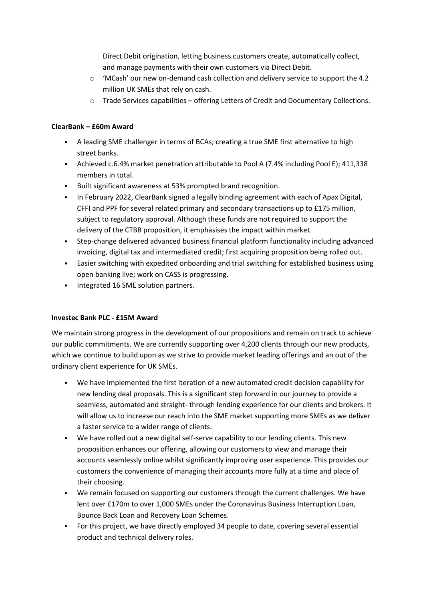Direct Debit origination, letting business customers create, automatically collect, and manage payments with their own customers via Direct Debit.

- $\circ$  'MCash' our new on-demand cash collection and delivery service to support the 4.2 million UK SMEs that rely on cash.
- o Trade Services capabilities offering Letters of Credit and Documentary Collections.

## **ClearBank – £60m Award**

- A leading SME challenger in terms of BCAs; creating a true SME first alternative to high street banks.
- Achieved c.6.4% market penetration attributable to Pool A (7.4% including Pool E); 411,338 members in total.
- Built significant awareness at 53% prompted brand recognition.
- In February 2022, ClearBank signed a legally binding agreement with each of Apax Digital, CFFI and PPF for several related primary and secondary transactions up to £175 million, subject to regulatory approval. Although these funds are not required to support the delivery of the CTBB proposition, it emphasises the impact within market.
- Step-change delivered advanced business financial platform functionality including advanced invoicing, digital tax and intermediated credit; first acquiring proposition being rolled out.
- Easier switching with expedited onboarding and trial switching for established business using open banking live; work on CASS is progressing.
- Integrated 16 SME solution partners.

## **Investec Bank PLC - £15M Award**

We maintain strong progress in the development of our propositions and remain on track to achieve our public commitments. We are currently supporting over 4,200 clients through our new products, which we continue to build upon as we strive to provide market leading offerings and an out of the ordinary client experience for UK SMEs.

- We have implemented the first iteration of a new automated credit decision capability for new lending deal proposals. This is a significant step forward in our journey to provide a seamless, automated and straight- through lending experience for our clients and brokers. It will allow us to increase our reach into the SME market supporting more SMEs as we deliver a faster service to a wider range of clients.
- We have rolled out a new digital self-serve capability to our lending clients. This new proposition enhances our offering, allowing our customers to view and manage their accounts seamlessly online whilst significantly improving user experience. This provides our customers the convenience of managing their accounts more fully at a time and place of their choosing.
- We remain focused on supporting our customers through the current challenges. We have lent over £170m to over 1,000 SMEs under the Coronavirus Business Interruption Loan, Bounce Back Loan and Recovery Loan Schemes.
- For this project, we have directly employed 34 people to date, covering several essential product and technical delivery roles.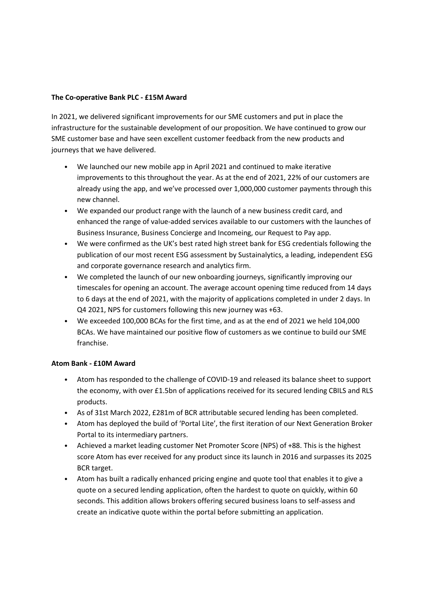#### **The Co-operative Bank PLC - £15M Award**

In 2021, we delivered significant improvements for our SME customers and put in place the infrastructure for the sustainable development of our proposition. We have continued to grow our SME customer base and have seen excellent customer feedback from the new products and journeys that we have delivered.

- We launched our new mobile app in April 2021 and continued to make iterative improvements to this throughout the year. As at the end of 2021, 22% of our customers are already using the app, and we've processed over 1,000,000 customer payments through this new channel.
- We expanded our product range with the launch of a new business credit card, and enhanced the range of value-added services available to our customers with the launches of Business Insurance, Business Concierge and Incomeing, our Request to Pay app.
- We were confirmed as the UK's best rated high street bank for ESG credentials following the publication of our most recent ESG assessment by Sustainalytics, a leading, independent ESG and corporate governance research and analytics firm.
- We completed the launch of our new onboarding journeys, significantly improving our timescales for opening an account. The average account opening time reduced from 14 days to 6 days at the end of 2021, with the majority of applications completed in under 2 days. In Q4 2021, NPS for customers following this new journey was +63.
- We exceeded 100,000 BCAs for the first time, and as at the end of 2021 we held 104,000 BCAs. We have maintained our positive flow of customers as we continue to build our SME franchise.

#### **Atom Bank - £10M Award**

- Atom has responded to the challenge of COVID-19 and released its balance sheet to support the economy, with over £1.5bn of applications received for its secured lending CBILS and RLS products.
- As of 31st March 2022, £281m of BCR attributable secured lending has been completed.
- Atom has deployed the build of 'Portal Lite', the first iteration of our Next Generation Broker Portal to its intermediary partners.
- Achieved a market leading customer Net Promoter Score (NPS) of +88. This is the highest score Atom has ever received for any product since its launch in 2016 and surpasses its 2025 BCR target.
- Atom has built a radically enhanced pricing engine and quote tool that enables it to give a quote on a secured lending application, often the hardest to quote on quickly, within 60 seconds. This addition allows brokers offering secured business loans to self-assess and create an indicative quote within the portal before submitting an application.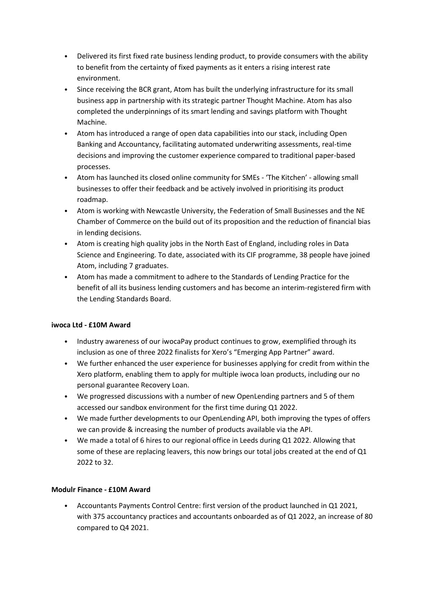- Delivered its first fixed rate business lending product, to provide consumers with the ability to benefit from the certainty of fixed payments as it enters a rising interest rate environment.
- Since receiving the BCR grant, Atom has built the underlying infrastructure for its small business app in partnership with its strategic partner Thought Machine. Atom has also completed the underpinnings of its smart lending and savings platform with Thought Machine.
- Atom has introduced a range of open data capabilities into our stack, including Open Banking and Accountancy, facilitating automated underwriting assessments, real-time decisions and improving the customer experience compared to traditional paper-based processes.
- Atom has launched its closed online community for SMEs 'The Kitchen' allowing small businesses to offer their feedback and be actively involved in prioritising its product roadmap.
- Atom is working with Newcastle University, the Federation of Small Businesses and the NE Chamber of Commerce on the build out of its proposition and the reduction of financial bias in lending decisions.
- Atom is creating high quality jobs in the North East of England, including roles in Data Science and Engineering. To date, associated with its CIF programme, 38 people have joined Atom, including 7 graduates.
- Atom has made a commitment to adhere to the Standards of Lending Practice for the benefit of all its business lending customers and has become an interim-registered firm with the Lending Standards Board.

## **iwoca Ltd - £10M Award**

- Industry awareness of our iwocaPay product continues to grow, exemplified through its inclusion as one of three 2022 finalists for Xero's "Emerging App Partner" award.
- We further enhanced the user experience for businesses applying for credit from within the Xero platform, enabling them to apply for multiple iwoca loan products, including our no personal guarantee Recovery Loan.
- We progressed discussions with a number of new OpenLending partners and 5 of them accessed our sandbox environment for the first time during Q1 2022.
- We made further developments to our OpenLending API, both improving the types of offers we can provide & increasing the number of products available via the API.
- We made a total of 6 hires to our regional office in Leeds during Q1 2022. Allowing that some of these are replacing leavers, this now brings our total jobs created at the end of Q1 2022 to 32.

## **Modulr Finance - £10M Award**

• Accountants Payments Control Centre: first version of the product launched in Q1 2021, with 375 accountancy practices and accountants onboarded as of Q1 2022, an increase of 80 compared to Q4 2021.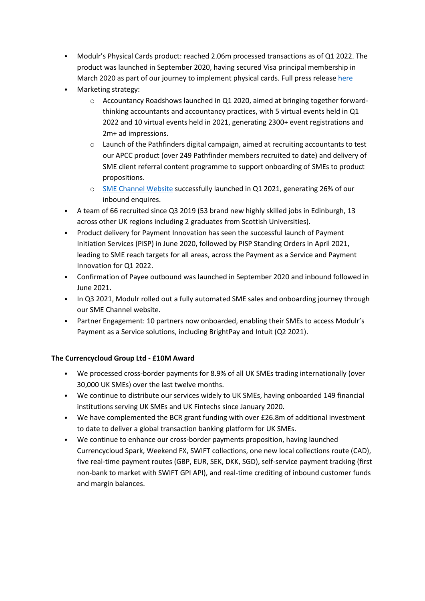- Modulr's Physical Cards product: reached 2.06m processed transactions as of Q1 2022. The product was launched in September 2020, having secured Visa principal membership in March 2020 as part of our journey to implement physical cards. Full press releas[e here](https://www.modulrfinance.com/blog/payments-fintech-modulr-becomes-a-principal-issuing-member-of-visa)
- Marketing strategy:
	- o Accountancy Roadshows launched in Q1 2020, aimed at bringing together forwardthinking accountants and accountancy practices, with 5 virtual events held in Q1 2022 and 10 virtual events held in 2021, generating 2300+ event registrations and 2m+ ad impressions.
	- o Launch of the Pathfinders digital campaign, aimed at recruiting accountants to test our APCC product (over 249 Pathfinder members recruited to date) and delivery of SME client referral content programme to support onboarding of SMEs to product propositions.
	- o [SME Channel Website](https://www.modulrfinance.com/small-business) successfully launched in Q1 2021, generating 26% of our inbound enquires.
- A team of 66 recruited since Q3 2019 (53 brand new highly skilled jobs in Edinburgh, 13 across other UK regions including 2 graduates from Scottish Universities).
- Product delivery for Payment Innovation has seen the successful launch of Payment Initiation Services (PISP) in June 2020, followed by PISP Standing Orders in April 2021, leading to SME reach targets for all areas, across the Payment as a Service and Payment Innovation for Q1 2022.
- Confirmation of Payee outbound was launched in September 2020 and inbound followed in June 2021.
- In Q3 2021, Modulr rolled out a fully automated SME sales and onboarding journey through our SME Channel website.
- Partner Engagement: 10 partners now onboarded, enabling their SMEs to access Modulr's Payment as a Service solutions, including BrightPay and Intuit (Q2 2021).

# **The Currencycloud Group Ltd - £10M Award**

- We processed cross-border payments for 8.9% of all UK SMEs trading internationally (over 30,000 UK SMEs) over the last twelve months.
- We continue to distribute our services widely to UK SMEs, having onboarded 149 financial institutions serving UK SMEs and UK Fintechs since January 2020.
- We have complemented the BCR grant funding with over £26.8m of additional investment to date to deliver a global transaction banking platform for UK SMEs.
- We continue to enhance our cross-border payments proposition, having launched Currencycloud Spark, Weekend FX, SWIFT collections, one new local collections route (CAD), five real-time payment routes (GBP, EUR, SEK, DKK, SGD), self-service payment tracking (first non-bank to market with SWIFT GPI API), and real-time crediting of inbound customer funds and margin balances.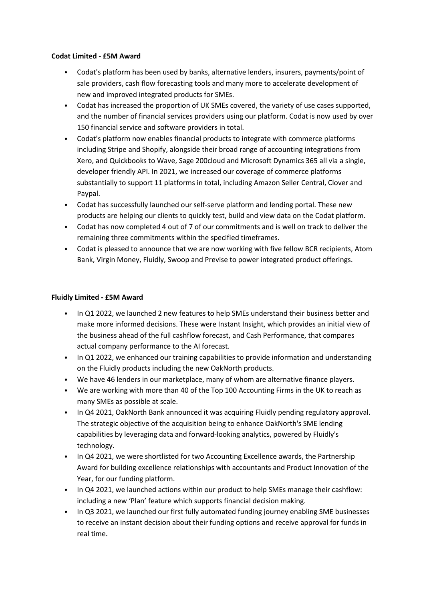### **Codat Limited - £5M Award**

- Codat's platform has been used by banks, alternative lenders, insurers, payments/point of sale providers, cash flow forecasting tools and many more to accelerate development of new and improved integrated products for SMEs.
- Codat has increased the proportion of UK SMEs covered, the variety of use cases supported, and the number of financial services providers using our platform. Codat is now used by over 150 financial service and software providers in total.
- Codat's platform now enables financial products to integrate with commerce platforms including Stripe and Shopify, alongside their broad range of accounting integrations from Xero, and Quickbooks to Wave, Sage 200cloud and Microsoft Dynamics 365 all via a single, developer friendly API. In 2021, we increased our coverage of commerce platforms substantially to support 11 platforms in total, including Amazon Seller Central, Clover and Paypal.
- Codat has successfully launched our self-serve platform and lending portal. These new products are helping our clients to quickly test, build and view data on the Codat platform.
- Codat has now completed 4 out of 7 of our commitments and is well on track to deliver the remaining three commitments within the specified timeframes.
- Codat is pleased to announce that we are now working with five fellow BCR recipients, Atom Bank, Virgin Money, Fluidly, Swoop and Previse to power integrated product offerings.

#### **Fluidly Limited - £5M Award**

- In Q1 2022, we launched 2 new features to help SMEs understand their business better and make more informed decisions. These were Instant Insight, which provides an initial view of the business ahead of the full cashflow forecast, and Cash Performance, that compares actual company performance to the AI forecast.
- In Q1 2022, we enhanced our training capabilities to provide information and understanding on the Fluidly products including the new OakNorth products.
- We have 46 lenders in our marketplace, many of whom are alternative finance players.
- We are working with more than 40 of the Top 100 Accounting Firms in the UK to reach as many SMEs as possible at scale.
- In Q4 2021, OakNorth Bank announced it was acquiring Fluidly pending regulatory approval. The strategic objective of the acquisition being to enhance OakNorth's SME lending capabilities by leveraging data and forward-looking analytics, powered by Fluidly's technology.
- In Q4 2021, we were shortlisted for two Accounting Excellence awards, the Partnership Award for building excellence relationships with accountants and Product Innovation of the Year, for our funding platform.
- In Q4 2021, we launched actions within our product to help SMEs manage their cashflow: including a new 'Plan' feature which supports financial decision making.
- In Q3 2021, we launched our first fully automated funding journey enabling SME businesses to receive an instant decision about their funding options and receive approval for funds in real time.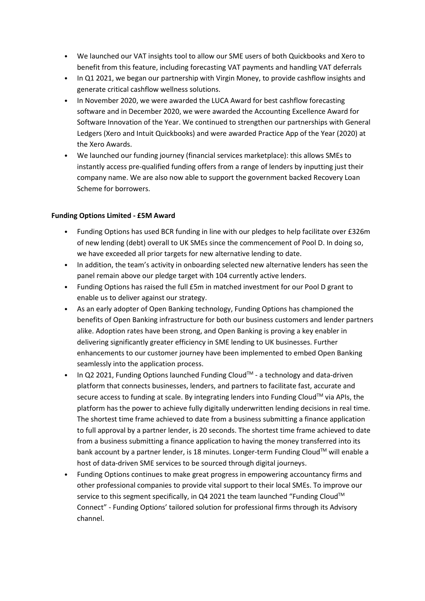- We launched our VAT insights tool to allow our SME users of both Quickbooks and Xero to benefit from this feature, including forecasting VAT payments and handling VAT deferrals
- In Q1 2021, we began our partnership with Virgin Money, to provide cashflow insights and generate critical cashflow wellness solutions.
- In November 2020, we were awarded the LUCA Award for best cashflow forecasting software and in December 2020, we were awarded the Accounting Excellence Award for Software Innovation of the Year. We continued to strengthen our partnerships with General Ledgers (Xero and Intuit Quickbooks) and were awarded Practice App of the Year (2020) at the Xero Awards.
- We launched our funding journey (financial services marketplace): this allows SMEs to instantly access pre-qualified funding offers from a range of lenders by inputting just their company name. We are also now able to support the government backed Recovery Loan Scheme for borrowers.

### **Funding Options Limited - £5M Award**

- Funding Options has used BCR funding in line with our pledges to help facilitate over £326m of new lending (debt) overall to UK SMEs since the commencement of Pool D. In doing so, we have exceeded all prior targets for new alternative lending to date.
- In addition, the team's activity in onboarding selected new alternative lenders has seen the panel remain above our pledge target with 104 currently active lenders.
- Funding Options has raised the full £5m in matched investment for our Pool D grant to enable us to deliver against our strategy.
- As an early adopter of Open Banking technology, Funding Options has championed the benefits of Open Banking infrastructure for both our business customers and lender partners alike. Adoption rates have been strong, and Open Banking is proving a key enabler in delivering significantly greater efficiency in SME lending to UK businesses. Further enhancements to our customer journey have been implemented to embed Open Banking seamlessly into the application process.
- In Q2 2021, Funding Options launched Funding Cloud<sup>TM</sup> a technology and data-driven platform that connects businesses, lenders, and partners to facilitate fast, accurate and secure access to funding at scale. By integrating lenders into Funding Cloud<sup>TM</sup> via APIs, the platform has the power to achieve fully digitally underwritten lending decisions in real time. The shortest time frame achieved to date from a business submitting a finance application to full approval by a partner lender, is 20 seconds. The shortest time frame achieved to date from a business submitting a finance application to having the money transferred into its bank account by a partner lender, is 18 minutes. Longer-term Funding Cloud™ will enable a host of data-driven SME services to be sourced through digital journeys.
- Funding Options continues to make great progress in empowering accountancy firms and other professional companies to provide vital support to their local SMEs. To improve our service to this segment specifically, in Q4 2021 the team launched "Funding Cloud™ Connect" - Funding Options' tailored solution for professional firms through its Advisory channel.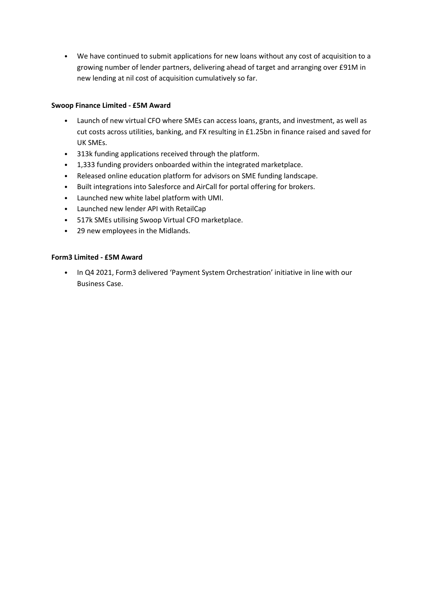• We have continued to submit applications for new loans without any cost of acquisition to a growing number of lender partners, delivering ahead of target and arranging over £91M in new lending at nil cost of acquisition cumulatively so far.

## **Swoop Finance Limited - £5M Award**

- Launch of new virtual CFO where SMEs can access loans, grants, and investment, as well as cut costs across utilities, banking, and FX resulting in £1.25bn in finance raised and saved for UK SMEs.
- 313k funding applications received through the platform.
- 1,333 funding providers onboarded within the integrated marketplace.
- Released online education platform for advisors on SME funding landscape.
- Built integrations into Salesforce and AirCall for portal offering for brokers.
- Launched new white label platform with UMI.
- Launched new lender API with RetailCap
- 517k SMEs utilising Swoop Virtual CFO marketplace.
- 29 new employees in the Midlands.

### **Form3 Limited - £5M Award**

• In Q4 2021, Form3 delivered 'Payment System Orchestration' initiative in line with our Business Case.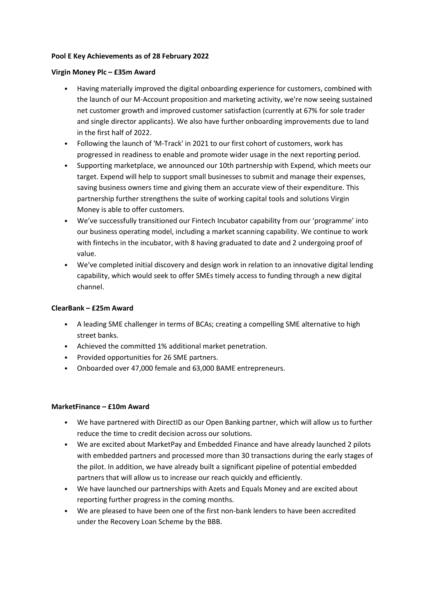### **Pool E Key Achievements as of 28 February 2022**

#### **Virgin Money Plc – £35m Award**

- Having materially improved the digital onboarding experience for customers, combined with the launch of our M-Account proposition and marketing activity, we're now seeing sustained net customer growth and improved customer satisfaction (currently at 67% for sole trader and single director applicants). We also have further onboarding improvements due to land in the first half of 2022.
- Following the launch of 'M-Track' in 2021 to our first cohort of customers, work has progressed in readiness to enable and promote wider usage in the next reporting period.
- Supporting marketplace, we announced our 10th partnership with Expend, which meets our target. Expend will help to support small businesses to submit and manage their expenses, saving business owners time and giving them an accurate view of their expenditure. This partnership further strengthens the suite of working capital tools and solutions Virgin Money is able to offer customers.
- We've successfully transitioned our Fintech Incubator capability from our 'programme' into our business operating model, including a market scanning capability. We continue to work with fintechs in the incubator, with 8 having graduated to date and 2 undergoing proof of value.
- We've completed initial discovery and design work in relation to an innovative digital lending capability, which would seek to offer SMEs timely access to funding through a new digital channel.

## **ClearBank – £25m Award**

- A leading SME challenger in terms of BCAs; creating a compelling SME alternative to high street banks.
- Achieved the committed 1% additional market penetration.
- Provided opportunities for 26 SME partners.
- Onboarded over 47,000 female and 63,000 BAME entrepreneurs.

## **MarketFinance – £10m Award**

- We have partnered with DirectID as our Open Banking partner, which will allow us to further reduce the time to credit decision across our solutions.
- We are excited about MarketPay and Embedded Finance and have already launched 2 pilots with embedded partners and processed more than 30 transactions during the early stages of the pilot. In addition, we have already built a significant pipeline of potential embedded partners that will allow us to increase our reach quickly and efficiently.
- We have launched our partnerships with Azets and Equals Money and are excited about reporting further progress in the coming months.
- We are pleased to have been one of the first non-bank lenders to have been accredited under the Recovery Loan Scheme by the BBB.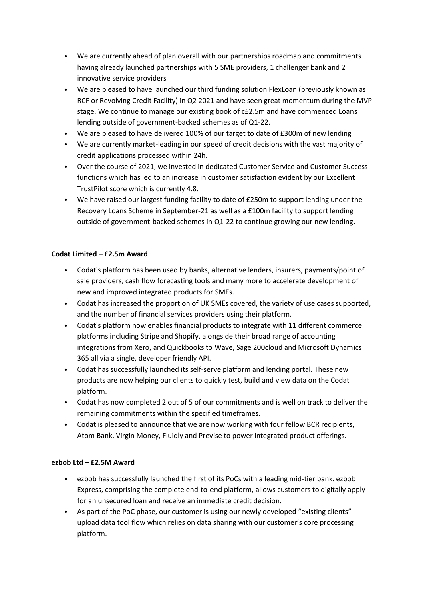- We are currently ahead of plan overall with our partnerships roadmap and commitments having already launched partnerships with 5 SME providers, 1 challenger bank and 2 innovative service providers
- We are pleased to have launched our third funding solution FlexLoan (previously known as RCF or Revolving Credit Facility) in Q2 2021 and have seen great momentum during the MVP stage. We continue to manage our existing book of c£2.5m and have commenced Loans lending outside of government-backed schemes as of Q1-22.
- We are pleased to have delivered 100% of our target to date of £300m of new lending
- We are currently market-leading in our speed of credit decisions with the vast majority of credit applications processed within 24h.
- Over the course of 2021, we invested in dedicated Customer Service and Customer Success functions which has led to an increase in customer satisfaction evident by our Excellent TrustPilot score which is currently 4.8.
- We have raised our largest funding facility to date of £250m to support lending under the Recovery Loans Scheme in September-21 as well as a £100m facility to support lending outside of government-backed schemes in Q1-22 to continue growing our new lending.

## **Codat Limited – £2.5m Award**

- Codat's platform has been used by banks, alternative lenders, insurers, payments/point of sale providers, cash flow forecasting tools and many more to accelerate development of new and improved integrated products for SMEs.
- Codat has increased the proportion of UK SMEs covered, the variety of use cases supported, and the number of financial services providers using their platform.
- Codat's platform now enables financial products to integrate with 11 different commerce platforms including Stripe and Shopify, alongside their broad range of accounting integrations from Xero, and Quickbooks to Wave, Sage 200cloud and Microsoft Dynamics 365 all via a single, developer friendly API.
- Codat has successfully launched its self-serve platform and lending portal. These new products are now helping our clients to quickly test, build and view data on the Codat platform.
- Codat has now completed 2 out of 5 of our commitments and is well on track to deliver the remaining commitments within the specified timeframes.
- Codat is pleased to announce that we are now working with four fellow BCR recipients, Atom Bank, Virgin Money, Fluidly and Previse to power integrated product offerings.

## **ezbob Ltd – £2.5M Award**

- ezbob has successfully launched the first of its PoCs with a leading mid-tier bank. ezbob Express, comprising the complete end-to-end platform, allows customers to digitally apply for an unsecured loan and receive an immediate credit decision.
- As part of the PoC phase, our customer is using our newly developed "existing clients" upload data tool flow which relies on data sharing with our customer's core processing platform.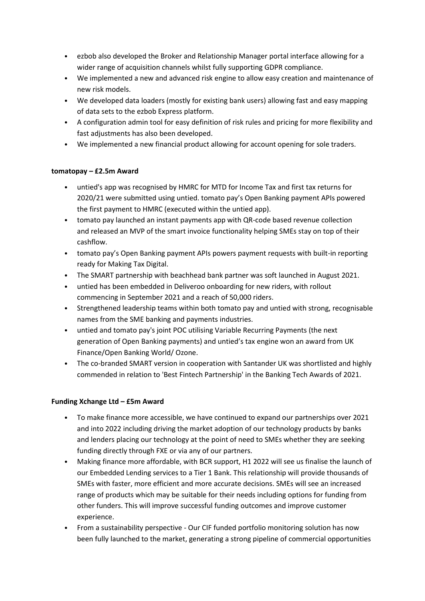- ezbob also developed the Broker and Relationship Manager portal interface allowing for a wider range of acquisition channels whilst fully supporting GDPR compliance.
- We implemented a new and advanced risk engine to allow easy creation and maintenance of new risk models.
- We developed data loaders (mostly for existing bank users) allowing fast and easy mapping of data sets to the ezbob Express platform.
- A configuration admin tool for easy definition of risk rules and pricing for more flexibility and fast adjustments has also been developed.
- We implemented a new financial product allowing for account opening for sole traders.

## **tomatopay – £2.5m Award**

- untied's app was recognised by HMRC for MTD for Income Tax and first tax returns for 2020/21 were submitted using untied. tomato pay's Open Banking payment APIs powered the first payment to HMRC (executed within the untied app).
- tomato pay launched an instant payments app with QR-code based revenue collection and released an MVP of the smart invoice functionality helping SMEs stay on top of their cashflow.
- tomato pay's Open Banking payment APIs powers payment requests with built-in reporting ready for Making Tax Digital.
- The SMART partnership with beachhead bank partner was soft launched in August 2021.
- untied has been embedded in Deliveroo onboarding for new riders, with rollout commencing in September 2021 and a reach of 50,000 riders.
- Strengthened leadership teams within both tomato pay and untied with strong, recognisable names from the SME banking and payments industries.
- untied and tomato pay's joint POC utilising Variable Recurring Payments (the next generation of Open Banking payments) and untied's tax engine won an award from UK Finance/Open Banking World/ Ozone.
- The co-branded SMART version in cooperation with Santander UK was shortlisted and highly commended in relation to 'Best Fintech Partnership' in the Banking Tech Awards of 2021.

## **Funding Xchange Ltd – £5m Award**

- To make finance more accessible, we have continued to expand our partnerships over 2021 and into 2022 including driving the market adoption of our technology products by banks and lenders placing our technology at the point of need to SMEs whether they are seeking funding directly through FXE or via any of our partners.
- Making finance more affordable, with BCR support, H1 2022 will see us finalise the launch of our Embedded Lending services to a Tier 1 Bank. This relationship will provide thousands of SMEs with faster, more efficient and more accurate decisions. SMEs will see an increased range of products which may be suitable for their needs including options for funding from other funders. This will improve successful funding outcomes and improve customer experience.
- From a sustainability perspective Our CIF funded portfolio monitoring solution has now been fully launched to the market, generating a strong pipeline of commercial opportunities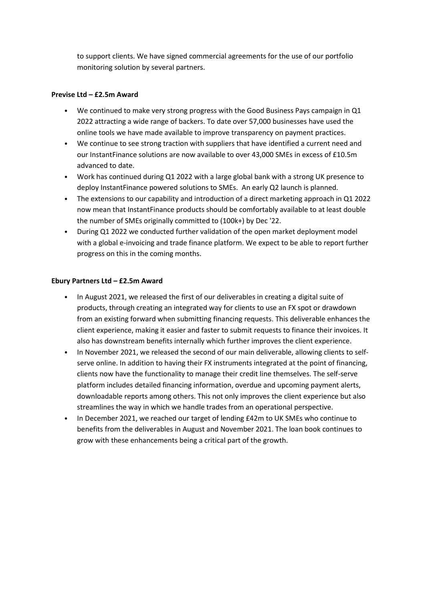to support clients. We have signed commercial agreements for the use of our portfolio monitoring solution by several partners.

### **Previse Ltd – £2.5m Award**

- We continued to make very strong progress with the Good Business Pays campaign in Q1 2022 attracting a wide range of backers. To date over 57,000 businesses have used the online tools we have made available to improve transparency on payment practices.
- We continue to see strong traction with suppliers that have identified a current need and our InstantFinance solutions are now available to over 43,000 SMEs in excess of £10.5m advanced to date.
- Work has continued during Q1 2022 with a large global bank with a strong UK presence to deploy InstantFinance powered solutions to SMEs. An early Q2 launch is planned.
- The extensions to our capability and introduction of a direct marketing approach in Q1 2022 now mean that InstantFinance products should be comfortably available to at least double the number of SMEs originally committed to (100k+) by Dec '22.
- During Q1 2022 we conducted further validation of the open market deployment model with a global e-invoicing and trade finance platform. We expect to be able to report further progress on this in the coming months.

### **Ebury Partners Ltd – £2.5m Award**

- In August 2021, we released the first of our deliverables in creating a digital suite of products, through creating an integrated way for clients to use an FX spot or drawdown from an existing forward when submitting financing requests. This deliverable enhances the client experience, making it easier and faster to submit requests to finance their invoices. It also has downstream benefits internally which further improves the client experience.
- In November 2021, we released the second of our main deliverable, allowing clients to selfserve online. In addition to having their FX instruments integrated at the point of financing, clients now have the functionality to manage their credit line themselves. The self-serve platform includes detailed financing information, overdue and upcoming payment alerts, downloadable reports among others. This not only improves the client experience but also streamlines the way in which we handle trades from an operational perspective.
- In December 2021, we reached our target of lending £42m to UK SMEs who continue to benefits from the deliverables in August and November 2021. The loan book continues to grow with these enhancements being a critical part of the growth.